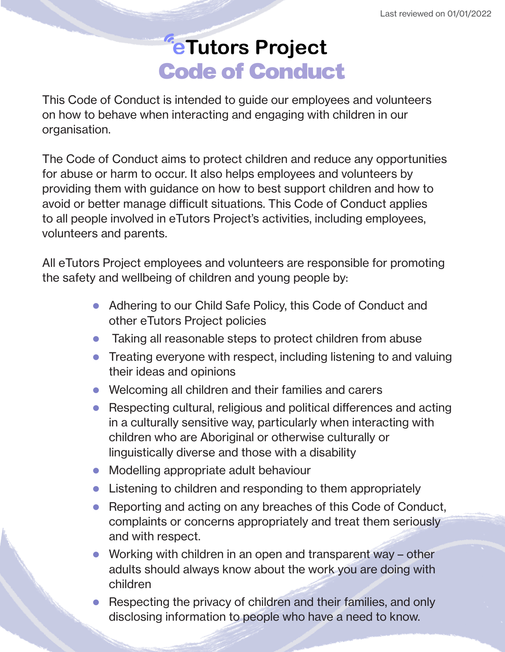## *<del>E</del>Tutors Project* Code of Conduct

This Code of Conduct is intended to guide our employees and volunteers on how to behave when interacting and engaging with children in our organisation.

The Code of Conduct aims to protect children and reduce any opportunities for abuse or harm to occur. It also helps employees and volunteers by providing them with guidance on how to best support children and how to avoid or better manage difficult situations. This Code of Conduct applies to all people involved in eTutors Project's activities, including employees, volunteers and parents.

All eTutors Project employees and volunteers are responsible for promoting the safety and wellbeing of children and young people by:

- Adhering to our Child Safe Policy, this Code of Conduct and other eTutors Project policies
- $\bullet$  Taking all reasonable steps to protect children from abuse
- $\bullet$  Treating everyone with respect, including listening to and valuing their ideas and opinions
- $\bullet$  Welcoming all children and their families and carers
- Respecting cultural, religious and political differences and acting in a culturally sensitive way, particularly when interacting with children who are Aboriginal or otherwise culturally or linguistically diverse and those with a disability
- Modelling appropriate adult behaviour
- $\bullet$  Listening to children and responding to them appropriately
- Reporting and acting on any breaches of this Code of Conduct, complaints or concerns appropriately and treat them seriously and with respect.
- Working with children in an open and transparent way  $-$  other adults should always know about the work you are doing with children
- Respecting the privacy of children and their families, and only disclosing information to people who have a need to know.